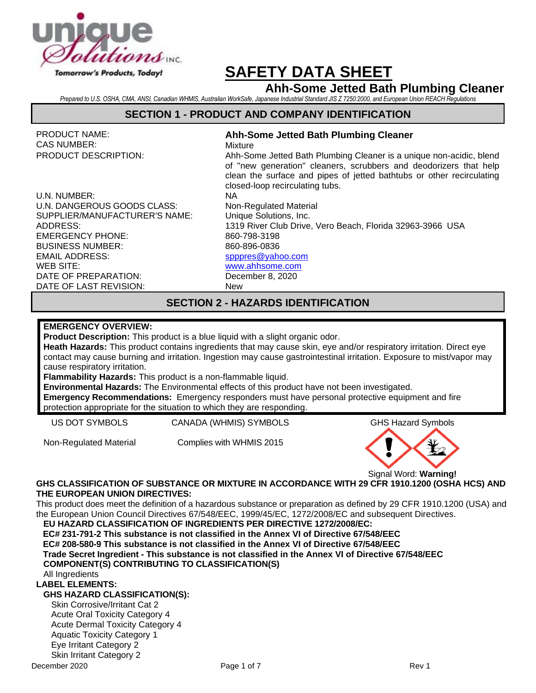

# **Ahh-Some Jetted Bath Plumbing Cleaner**

*Prepared to U.S. OSHA, CMA, ANSI, Canadian WHMIS, Australian WorkSafe, Japanese Industrial Standard JIS Z 7250:2000, and European Union REACH Regulations*

### **SECTION 1 - PRODUCT AND COMPANY IDENTIFICATION**

PRODUCT NAME: CAS NUMBER:

**Ahh-Some Jetted Bath Plumbing Cleaner**

U.N. NUMBER: NA U.N. DANGEROUS GOODS CLASS: Non-Regulated Material SUPPLIER/MANUFACTURER'S NAME: Unique Solutions, Inc. EMERGENCY PHONE: 860-798-3198 BUSINESS NUMBER: EMAIL ADDRESS: 860-896-0836 [spppres@yahoo.com](mailto:spppres@yahoo.com) [www.ahhsome.com](http://www.ahhsome.com/) DATE OF PREPARATION: December 8, 2020

DATE OF LAST REVISION: New

WEB SITE:

# Mixture

PRODUCT DESCRIPTION: Ahh-Some Jetted Bath Plumbing Cleaner is a unique non-acidic, blend of "new generation" cleaners, scrubbers and deodorizers that help clean the surface and pipes of jetted bathtubs or other recirculating closed-loop recirculating tubs.

ADDRESS: 1319 River Club Drive, Vero Beach, Florida 32963-3966 USA

# **SECTION 2 - HAZARDS IDENTIFICATION**

#### **EMERGENCY OVERVIEW:**

**Product Description:** This product is a blue liquid with a slight organic odor.

**Heath Hazards:** This product contains ingredients that may cause skin, eye and/or respiratory irritation. Direct eye contact may cause burning and irritation. Ingestion may cause gastrointestinal irritation. Exposure to mist/vapor may cause respiratory irritation.

**Flammability Hazards:** This product is a non-flammable liquid.

**Environmental Hazards:** The Environmental effects of this product have not been investigated. **Emergency Recommendations:** Emergency responders must have personal protective equipment and fire

protection appropriate for the situation to which they are responding.

US DOT SYMBOLS CANADA (WHMIS) SYMBOLS GHS Hazard Symbols

Non-Regulated Material Complies with WHMIS 2015



Signal Word: **Warning!**

#### **GHS CLASSIFICATION OF SUBSTANCE OR MIXTURE IN ACCORDANCE WITH 29 CFR 1910.1200 (OSHA HCS) AND THE EUROPEAN UNION DIRECTIVES:**

This product does meet the definition of a hazardous substance or preparation as defined by 29 CFR 1910.1200 (USA) and the European Union Council Directives 67/548/EEC, 1999/45/EC, 1272/2008/EC and subsequent Directives.

**EU HAZARD CLASSIFICATION OF INGREDIENTS PER DIRECTIVE 1272/2008/EC: EC# 231-791-2 This substance is not classified in the Annex VI of Directive 67/548/EEC**

**EC# 208-580-9 This substance is not classified in the Annex VI of Directive 67/548/EEC**

**Trade Secret Ingredient - This substance is not classified in the Annex VI of Directive 67/548/EEC**

#### **COMPONENT(S) CONTRIBUTING TO CLASSIFICATION(S)**

All Ingredients

#### **LABEL ELEMENTS:**

#### **GHS HAZARD CLASSIFICATION(S):**

Skin Corrosive/Irritant Cat 2 Acute Oral Toxicity Category 4 Acute Dermal Toxicity Category 4 Aquatic Toxicity Category 1 Eye Irritant Category 2 Skin Irritant Category 2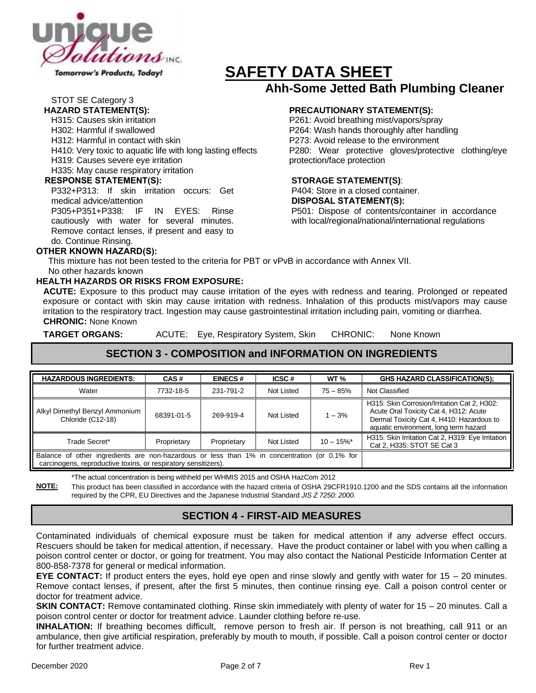

Tomorrow's Products, Today!

# **SAFETY DATA SHEET Ahh-Some Jetted Bath Plumbing Cleaner**

# STOT SE Category 3

- H315: Causes skin irritation
- H302: Harmful if swallowed
- H312: Harmful in contact with skin
- H410: Very toxic to aquatic life with long lasting effects
- H319: Causes severe eye irritation
- H335: May cause respiratory irritation

#### **RESPONSE STATEMENT(S):**

P332+P313: If skin irritation occurs: Get medical advice/attention P305+P351+P338: IF IN EYES: Rinse

cautiously with water for several minutes. Remove contact lenses, if present and easy to do. Continue Rinsing.

#### **OTHER KNOWN HAZARD(S):**

# **HAZARD STATEMENT(S): PRECAUTIONARY STATEMENT(S):**

P261: Avoid breathing mist/vapors/spray P264: Wash hands thoroughly after handling P273: Avoid release to the environment P280: Wear protective gloves/protective clothing/eye protection/face protection

#### **STORAGE STATEMENT(S)**:

P404: Store in a closed container. **DISPOSAL STATEMENT(S):** P501: Dispose of contents/container in accordance with local/regional/national/international regulations

 This mixture has not been tested to the criteria for PBT or vPvB in accordance with Annex VII. No other hazards known

#### **HEALTH HAZARDS OR RISKS FROM EXPOSURE:**

**ACUTE:** Exposure to this product may cause irritation of the eyes with redness and tearing. Prolonged or repeated exposure or contact with skin may cause irritation with redness. Inhalation of this products mist/vapors may cause irritation to the respiratory tract. Ingestion may cause gastrointestinal irritation including pain, vomiting or diarrhea. **CHRONIC:** None Known

**TARGET ORGANS:** ACUTE: Eye, Respiratory System, Skin CHRONIC: None Known

# **SECTION 3 - COMPOSITION and INFORMATION ON INGREDIENTS**

| <b>HAZARDOUS INGREDIENTS:</b>                                                                                                                                  | CAS#        | <b>EINECS#</b> | ICSC#      | WT <sub>%</sub>          | <b>GHS HAZARD CLASSIFICATION(S):</b>                                                                                                                                         |
|----------------------------------------------------------------------------------------------------------------------------------------------------------------|-------------|----------------|------------|--------------------------|------------------------------------------------------------------------------------------------------------------------------------------------------------------------------|
| Water                                                                                                                                                          | 7732-18-5   | 231-791-2      | Not Listed | $75 - 85%$               | Not Classified                                                                                                                                                               |
| Alkyl Dimethyl Benzyl Ammonium<br>Chloride (C12-18)                                                                                                            | 68391-01-5  | 269-919-4      | Not Listed | $1 - 3%$                 | H315: Skin Corrosion/Irritation Cat 2, H302:<br>Acute Oral Toxicity Cat 4, H312: Acute<br>Dermal Toxicity Cat 4, H410: Hazardous to<br>aquatic environment, long term hazard |
| Trade Secret*                                                                                                                                                  | Proprietary | Proprietary    | Not Listed | $10 - 15\%$ <sup>*</sup> | H315: Skin Irritation Cat 2, H319: Eye Irritation<br>Cat 2, H335: STOT SE Cat 3                                                                                              |
| Balance of other ingredients are non-hazardous or less than 1% in concentration (or 0.1% for<br>carcinogens, reproductive toxins, or respiratory sensitizers). |             |                |            |                          |                                                                                                                                                                              |

\*The actual concentration is being withheld per WHMIS 2015 and OSHA HazCom 2012

**NOTE:** This product has been classified in accordance with the hazard criteria of OSHA 29CFR1910.1200 and the SDS contains all the information required by the CPR, EU Directives and the Japanese Industrial Standard *JIS Z 7250: 2000*.

# **SECTION 4 - FIRST-AID MEASURES**

Contaminated individuals of chemical exposure must be taken for medical attention if any adverse effect occurs. Rescuers should be taken for medical attention, if necessary. Have the product container or label with you when calling a poison control center or doctor, or going for treatment. You may also contact the National Pesticide Information Center at 800-858-7378 for general or medical information.

**EYE CONTACT:** If product enters the eyes, hold eye open and rinse slowly and gently with water for 15 – 20 minutes. Remove contact lenses, if present, after the first 5 minutes, then continue rinsing eye. Call a poison control center or doctor for treatment advice.

**SKIN CONTACT:** Remove contaminated clothing. Rinse skin immediately with plenty of water for 15 – 20 minutes. Call a poison control center or doctor for treatment advice. Launder clothing before re-use.

**INHALATION:** If breathing becomes difficult, remove person to fresh air. If person is not breathing, call 911 or an ambulance, then give artificial respiration, preferably by mouth to mouth, if possible. Call a poison control center or doctor for further treatment advice.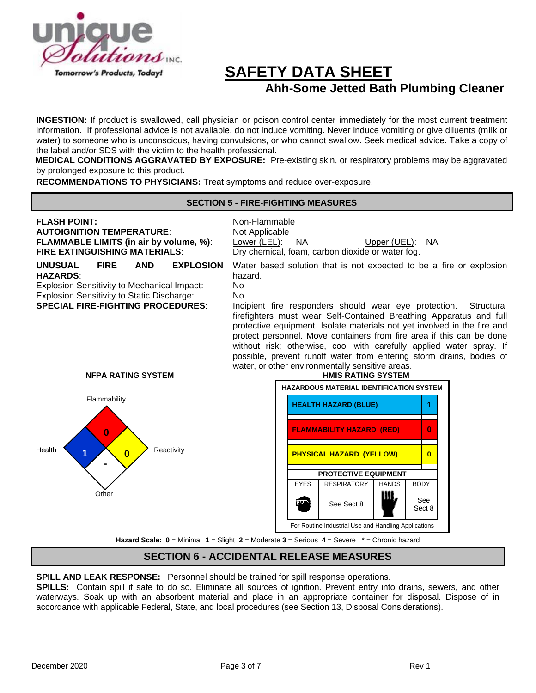

# **SAFETY DATA SHEET Ahh-Some Jetted Bath Plumbing Cleaner**

**INGESTION:** If product is swallowed, call physician or poison control center immediately for the most current treatment information. If professional advice is not available, do not induce vomiting. Never induce vomiting or give diluents (milk or water) to someone who is unconscious, having convulsions, or who cannot swallow. Seek medical advice. Take a copy of the label and/or SDS with the victim to the health professional.

**MEDICAL CONDITIONS AGGRAVATED BY EXPOSURE:** Pre-existing skin, or respiratory problems may be aggravated by prolonged exposure to this product.

**RECOMMENDATIONS TO PHYSICIANS:** Treat symptoms and reduce over-exposure.

#### **SECTION 5 - FIRE-FIGHTING MEASURES**

#### **FLASH POINT:** Non-Flammable **AUTOIGNITION TEMPERATURE:** Not Applicable **FLAMMABLE LIMITS (in air by volume, %):** Lower (LEL): NA Upper (UEL): NA **FIRE EXTINGUISHING MATERIALS:** Dry chemical, foam, carbon dioxide or water fog. **UNUSUAL FIRE AND EXPLOSION HAZARDS**: Water based solution that is not expected to be a fire or explosion hazard. Explosion Sensitivity to Mechanical Impact: No **Explosion Sensitivity to Static Discharge:** No **SPECIAL FIRE-FIGHTING PROCEDURES**: Incipient fire responders should wear eye protection. Structural firefighters must wear Self-Contained Breathing Apparatus and full protective equipment. Isolate materials not yet involved in the fire and protect personnel. Move containers from fire area if this can be done without risk; otherwise, cool with carefully applied water spray. If possible, prevent runoff water from entering storm drains, bodies of water, or other environmentally sensitive areas. **NFPA RATING SYSTEM HMIS RATING SYSTEM**





**Hazard Scale: 0** = Minimal **1** = Slight **2** = Moderate **3** = Serious **4** = Severe \* = Chronic hazard

# **SECTION 6 - ACCIDENTAL RELEASE MEASURES**

**SPILL AND LEAK RESPONSE:** Personnel should be trained for spill response operations.

**SPILLS:** Contain spill if safe to do so. Eliminate all sources of ignition. Prevent entry into drains, sewers, and other waterways. Soak up with an absorbent material and place in an appropriate container for disposal. Dispose of in accordance with applicable Federal, State, and local procedures (see Section 13, Disposal Considerations).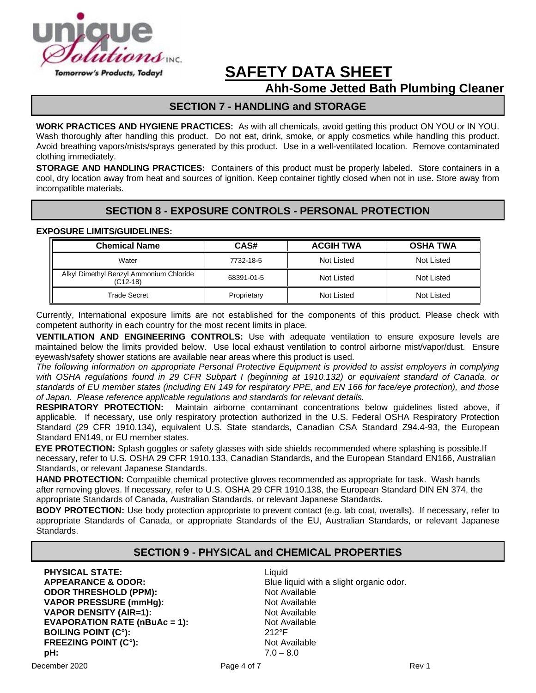

# **Ahh-Some Jetted Bath Plumbing Cleaner**

# **SECTION 7 - HANDLING and STORAGE**

**WORK PRACTICES AND HYGIENE PRACTICES:** As with all chemicals, avoid getting this product ON YOU or IN YOU. Wash thoroughly after handling this product. Do not eat, drink, smoke, or apply cosmetics while handling this product. Avoid breathing vapors/mists/sprays generated by this product. Use in a well-ventilated location. Remove contaminated clothing immediately.

**STORAGE AND HANDLING PRACTICES:** Containers of this product must be properly labeled. Store containers in a cool, dry location away from heat and sources of ignition. Keep container tightly closed when not in use. Store away from incompatible materials.

# **SECTION 8 - EXPOSURE CONTROLS - PERSONAL PROTECTION**

#### **EXPOSURE LIMITS/GUIDELINES:**

| <b>Chemical Name</b>                                | CAS#        | <b>ACGIH TWA</b> | <b>OSHA TWA</b> |
|-----------------------------------------------------|-------------|------------------|-----------------|
| Water                                               | 7732-18-5   | Not Listed       | Not Listed      |
| Alkyl Dimethyl Benzyl Ammonium Chloride<br>(C12-18) | 68391-01-5  | Not Listed       | Not Listed      |
| Trade Secret                                        | Proprietary | Not Listed       | Not Listed      |

Currently, International exposure limits are not established for the components of this product. Please check with competent authority in each country for the most recent limits in place.

**VENTILATION AND ENGINEERING CONTROLS:** Use with adequate ventilation to ensure exposure levels are maintained below the limits provided below. Use local exhaust ventilation to control airborne mist/vapor/dust. Ensure eyewash/safety shower stations are available near areas where this product is used.

*The following information on appropriate Personal Protective Equipment is provided to assist employers in complying with OSHA regulations found in 29 CFR Subpart I (beginning at 1910.132) or equivalent standard of Canada, or standards of EU member states (including EN 149 for respiratory PPE, and EN 166 for face/eye protection), and those of Japan. Please reference applicable regulations and standards for relevant details.*

**RESPIRATORY PROTECTION:** Maintain airborne contaminant concentrations below guidelines listed above, if applicable. If necessary, use only respiratory protection authorized in the U.S. Federal OSHA Respiratory Protection Standard (29 CFR 1910.134), equivalent U.S. State standards, Canadian CSA Standard Z94.4-93, the European Standard EN149, or EU member states.

**EYE PROTECTION:** Splash goggles or safety glasses with side shields recommended where splashing is possible.If necessary, refer to U.S. OSHA 29 CFR 1910.133, Canadian Standards, and the European Standard EN166, Australian Standards, or relevant Japanese Standards.

**HAND PROTECTION:** Compatible chemical protective gloves recommended as appropriate for task. Wash hands after removing gloves. If necessary, refer to U.S. OSHA 29 CFR 1910.138, the European Standard DIN EN 374, the appropriate Standards of Canada, Australian Standards, or relevant Japanese Standards.

**BODY PROTECTION:** Use body protection appropriate to prevent contact (e.g. lab coat, overalls). If necessary, refer to appropriate Standards of Canada, or appropriate Standards of the EU, Australian Standards, or relevant Japanese Standards.

# **SECTION 9 - PHYSICAL and CHEMICAL PROPERTIES**

**PHYSICAL STATE:** Liquid **ODOR THRESHOLD (PPM): VAPOR PRESSURE (mmHg):** Not Available **VAPOR DENSITY (AIR=1):** Not Available **EVAPORATION RATE (nBuAc = 1):** Not Available **BOILING POINT (C°):**  $212^{\circ}F$ **BOILING POINT (C°): FREEZING POINT (C°):** Not Available **pH:** 7.0 – 8.0

**APPEARANCE & ODOR:** Blue liquid with a slight organic odor.<br> **ODOR THRESHOLD (PPM):** Not Available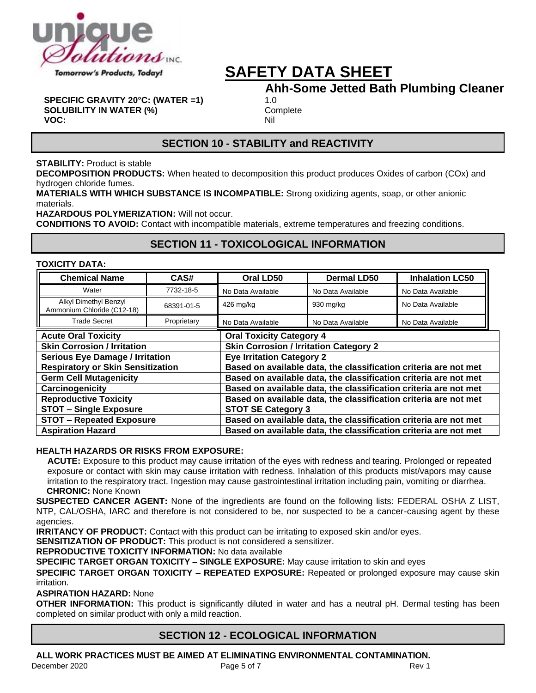

# **Ahh-Some Jetted Bath Plumbing Cleaner**

**SPECIFIC GRAVITY 20°C: (WATER =1)** 1.0 **SOLUBILITY IN WATER (%)** Complete **VOC:** Nil

# **SECTION 10 - STABILITY and REACTIVITY**

#### **STABILITY:** Product is stable

**DECOMPOSITION PRODUCTS:** When heated to decomposition this product produces Oxides of carbon (COx) and hydrogen chloride fumes.

**MATERIALS WITH WHICH SUBSTANCE IS INCOMPATIBLE:** Strong oxidizing agents, soap, or other anionic materials.

**HAZARDOUS POLYMERIZATION:** Will not occur.

**CONDITIONS TO AVOID:** Contact with incompatible materials, extreme temperatures and freezing conditions.

### **SECTION 11 - TOXICOLOGICAL INFORMATION**

#### **TOXICITY DATA:**

| <b>Chemical Name</b>                                | CAS#        | Oral LD50                                                        | <b>Dermal LD50</b>                                               | <b>Inhalation LC50</b> |  |  |
|-----------------------------------------------------|-------------|------------------------------------------------------------------|------------------------------------------------------------------|------------------------|--|--|
| Water                                               | 7732-18-5   | No Data Available                                                | No Data Available                                                | No Data Available      |  |  |
| Alkyl Dimethyl Benzyl<br>Ammonium Chloride (C12-18) | 68391-01-5  | 426 mg/kg                                                        | 930 mg/kg                                                        | No Data Available      |  |  |
| <b>Trade Secret</b>                                 | Proprietary | No Data Available                                                | No Data Available                                                | No Data Available      |  |  |
| <b>Acute Oral Toxicity</b>                          |             | <b>Oral Toxicity Category 4</b>                                  |                                                                  |                        |  |  |
| <b>Skin Corrosion / Irritation</b>                  |             | <b>Skin Corrosion / Irritation Category 2</b>                    |                                                                  |                        |  |  |
| <b>Serious Eye Damage / Irritation</b>              |             | <b>Eye Irritation Category 2</b>                                 |                                                                  |                        |  |  |
| <b>Respiratory or Skin Sensitization</b>            |             | Based on available data, the classification criteria are not met |                                                                  |                        |  |  |
| <b>Germ Cell Mutagenicity</b>                       |             | Based on available data, the classification criteria are not met |                                                                  |                        |  |  |
| Carcinogenicity                                     |             | Based on available data, the classification criteria are not met |                                                                  |                        |  |  |
| <b>Reproductive Toxicity</b>                        |             | Based on available data, the classification criteria are not met |                                                                  |                        |  |  |
| <b>STOT - Single Exposure</b>                       |             | <b>STOT SE Category 3</b>                                        |                                                                  |                        |  |  |
| <b>STOT - Repeated Exposure</b>                     |             | Based on available data, the classification criteria are not met |                                                                  |                        |  |  |
| <b>Aspiration Hazard</b>                            |             |                                                                  | Based on available data, the classification criteria are not met |                        |  |  |

#### **HEALTH HAZARDS OR RISKS FROM EXPOSURE:**

**ACUTE:** Exposure to this product may cause irritation of the eyes with redness and tearing. Prolonged or repeated exposure or contact with skin may cause irritation with redness. Inhalation of this products mist/vapors may cause irritation to the respiratory tract. Ingestion may cause gastrointestinal irritation including pain, vomiting or diarrhea.  **CHRONIC:** None Known

**SUSPECTED CANCER AGENT:** None of the ingredients are found on the following lists: FEDERAL OSHA Z LIST, NTP, CAL/OSHA, IARC and therefore is not considered to be, nor suspected to be a cancer-causing agent by these agencies.

**IRRITANCY OF PRODUCT:** Contact with this product can be irritating to exposed skin and/or eyes.

**SENSITIZATION OF PRODUCT:** This product is not considered a sensitizer.

**REPRODUCTIVE TOXICITY INFORMATION:** No data available

**SPECIFIC TARGET ORGAN TOXICITY – SINGLE EXPOSURE:** May cause irritation to skin and eyes

**SPECIFIC TARGET ORGAN TOXICITY – REPEATED EXPOSURE:** Repeated or prolonged exposure may cause skin irritation.

#### **ASPIRATION HAZARD:** None

**OTHER INFORMATION:** This product is significantly diluted in water and has a neutral pH. Dermal testing has been completed on similar product with only a mild reaction.

# **SECTION 12 - ECOLOGICAL INFORMATION**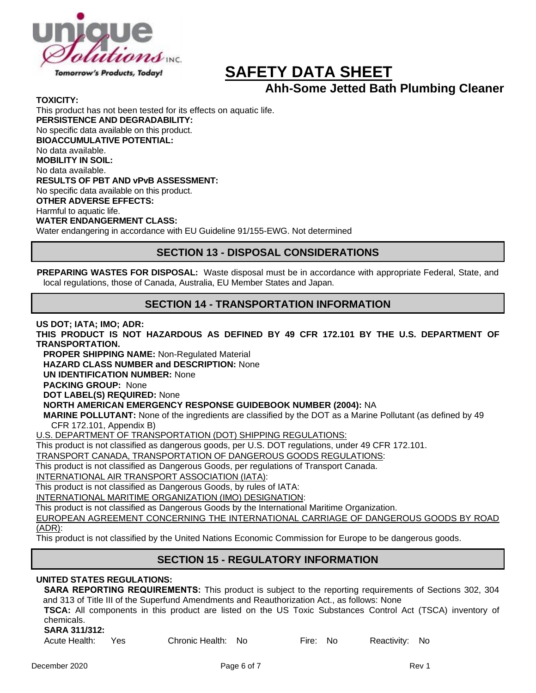

**Ahh-Some Jetted Bath Plumbing Cleaner**

**TOXICITY:**

This product has not been tested for its effects on aquatic life. **PERSISTENCE AND DEGRADABILITY:** No specific data available on this product. **BIOACCUMULATIVE POTENTIAL:** No data available. **MOBILITY IN SOIL:** No data available. **RESULTS OF PBT AND vPvB ASSESSMENT:** No specific data available on this product. **OTHER ADVERSE EFFECTS:** Harmful to aquatic life. **WATER ENDANGERMENT CLASS:** Water endangering in accordance with EU Guideline 91/155-EWG. Not determined

### **SECTION 13 - DISPOSAL CONSIDERATIONS**

**PREPARING WASTES FOR DISPOSAL:** Waste disposal must be in accordance with appropriate Federal, State, and local regulations, those of Canada, Australia, EU Member States and Japan.

### **SECTION 14 - TRANSPORTATION INFORMATION**

**US DOT; IATA; IMO; ADR:**

**THIS PRODUCT IS NOT HAZARDOUS AS DEFINED BY 49 CFR 172.101 BY THE U.S. DEPARTMENT OF TRANSPORTATION.**

**PROPER SHIPPING NAME:** Non-Regulated Material

**HAZARD CLASS NUMBER and DESCRIPTION:** None

**UN IDENTIFICATION NUMBER:** None

**PACKING GROUP:** None

**DOT LABEL(S) REQUIRED:** None

**NORTH AMERICAN EMERGENCY RESPONSE GUIDEBOOK NUMBER (2004):** NA

**MARINE POLLUTANT:** None of the ingredients are classified by the DOT as a Marine Pollutant (as defined by 49 CFR 172.101, Appendix B)

U.S. DEPARTMENT OF TRANSPORTATION (DOT) SHIPPING REGULATIONS:

This product is not classified as dangerous goods, per U.S. DOT regulations, under 49 CFR 172.101.

TRANSPORT CANADA, TRANSPORTATION OF DANGEROUS GOODS REGULATIONS:

This product is not classified as Dangerous Goods, per regulations of Transport Canada.

INTERNATIONAL AIR TRANSPORT ASSOCIATION (IATA):

This product is not classified as Dangerous Goods, by rules of IATA:

INTERNATIONAL MARITIME ORGANIZATION (IMO) DESIGNATION:

This product is not classified as Dangerous Goods by the International Maritime Organization.

EUROPEAN AGREEMENT CONCERNING THE INTERNATIONAL CARRIAGE OF DANGEROUS GOODS BY ROAD (ADR):

This product is not classified by the United Nations Economic Commission for Europe to be dangerous goods.

# **SECTION 15 - REGULATORY INFORMATION**

#### **UNITED STATES REGULATIONS:**

**SARA REPORTING REQUIREMENTS:** This product is subject to the reporting requirements of Sections 302, 304 and 313 of Title III of the Superfund Amendments and Reauthorization Act., as follows: None

**TSCA:** All components in this product are listed on the US Toxic Substances Control Act (TSCA) inventory of chemicals.

#### **SARA 311/312:**

Acute Health: Yes Chronic Health: No Fire: No Reactivity: No